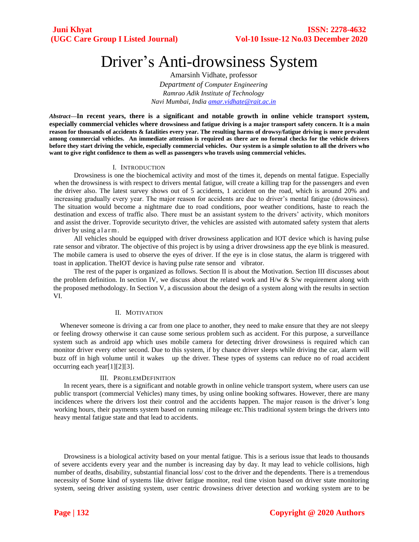# Driver's Anti-drowsiness System

Amarsinh Vidhate, professor *Department of Computer Engineering Ramrao Adik Institute of Technology Navi Mumbai, India [amar.vidhate@rait.ac.in](mailto:amar.vidhate@rait.ac.in)*

*Abstract***—In recent years, there is a significant and notable growth in online vehicle transport system, especially commercial vehicles where drowsiness and fatigue driving is a major transport safety concern. It is a main reason for thousands of accidents & fatalities every year. The resulting harms of drowsy/fatigue driving is more prevalent among commercial vehicles. An immediate attention is required as there are no formal checks for the vehicle drivers before they start driving the vehicle, especially commercial vehicles. Our system is a simple solution to all the drivers who want to give right confidence to them as well as passengers who travels using commercial vehicles.**

#### I. INTRODUCTION

Drowsiness is one the biochemical activity and most of the times it, depends on mental fatigue. Especially when the drowsiness is with respect to drivers mental fatigue, will create a killing trap for the passengers and even the driver also. The latest survey shows out of 5 accidents, 1 accident on the road, which is around 20% and increasing gradually every year. The major reason for accidents are due to driver's mental fatigue (drowsiness). The situation would become a nightmare due to road conditions, poor weather conditions, haste to reach the destination and excess of traffic also. There must be an assistant system to the drivers' activity, which monitors and assist the driver. Toprovide securityto driver, the vehicles are assisted with automated safety system that alerts driver by using a larm.

All vehicles should be equipped with driver drowsiness application and IOT device which is having pulse rate sensor and vibrator. The objective of this project is by using a driver drowsiness app the eye blink is measured. The mobile camera is used to observe the eyes of driver. If the eye is in close status, the alarm is triggered with toast in application. TheIOT device is having pulse rate sensor and vibrator.

The rest of the paper is organized as follows. Section II is about the Motivation. Section III discusses about the problem definition. In section IV, we discuss about the related work and  $H/w \& S/w$  requirement along with the proposed methodology. In Section V, a discussion about the design of a system along with the results in section VI.

### II. MOTIVATION

Whenever someone is driving a car from one place to another, they need to make ensure that they are not sleepy or feeling drowsy otherwise it can cause some serious problem such as accident. For this purpose, a surveillance system such as android app which uses mobile camera for detecting driver drowsiness is required which can monitor driver every other second. Due to this system, if by chance driver sleeps while driving the car, alarm will buzz off in high volume until it wakes up the driver. These types of systems can reduce no of road accident occurring each year[1][2][3].

#### III. PROBLEMDEFINITION

In recent years, there is a significant and notable growth in online vehicle transport system, where users can use public transport (commercial Vehicles) many times, by using online booking softwares. However, there are many incidences where the drivers lost their control and the accidents happen. The major reason is the driver's long working hours, their payments system based on running mileage etc.This traditional system brings the drivers into heavy mental fatigue state and that lead to accidents.

Drowsiness is a biological activity based on your mental fatigue. This is a serious issue that leads to thousands of severe accidents every year and the number is increasing day by day. It may lead to vehicle collisions, high number of deaths, disability, substantial financial loss/ cost to the driver and the dependents. There is a tremendous necessity of Some kind of systems like driver fatigue monitor, real time vision based on driver state monitoring system, seeing driver assisting system, user centric drowsiness driver detection and working system are to be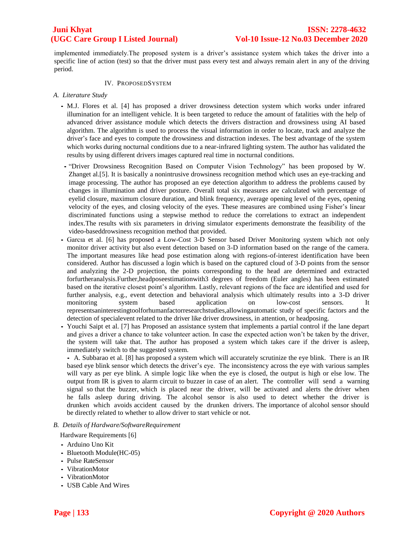implemented immediately.The proposed system is a driver's assistance system which takes the driver into a specific line of action (test) so that the driver must pass every test and always remain alert in any of the driving period.

### IV. PROPOSEDSYSTEM

- *A. Literature Study* 
	- *•* M.J. Flores et al. [4] has proposed a driver drowsiness detection system which works under infrared illumination for an intelligent vehicle. It is been targeted to reduce the amount of fatalities with the help of advanced driver assistance module which detects the drivers distraction and drowsiness using AI based algorithm. The algorithm is used to process the visual information in order to locate, track and analyze the driver's face and eyes to compute the drowsiness and distraction indexes. The best advantage of the system which works during nocturnal conditions due to a near-infrared lighting system. The author has validated the results by using different drivers images captured real time in nocturnal conditions.
	- *•* "Driver Drowsiness Recognition Based on Computer Vision Technology" has been proposed by W. Zhanget al.[5]. It is basically a nonintrusive drowsiness recognition method which uses an eye-tracking and image processing. The author has proposed an eye detection algorithm to address the problems caused by changes in illumination and driver posture. Overall total six measures are calculated with percentage of eyelid closure, maximum closure duration, and blink frequency, average opening level of the eyes, opening velocity of the eyes, and closing velocity of the eyes. These measures are combined using Fisher's linear discriminated functions using a stepwise method to reduce the correlations to extract an independent index.The results with six parameters in driving simulator experiments demonstrate the feasibility of the video-baseddrowsiness recognition method that provided.
	- Garcıa et al. [6] has proposed a Low-Cost 3-D Sensor based Driver Monitoring system which not only monitor driver activity but also event detection based on 3-D information based on the range of the camera. The important measures like head pose estimation along with regions-of-interest identification have been considered. Author has discussed a login which is based on the captured cloud of 3-D points from the sensor and analyzing the 2-D projection, the points corresponding to the head are determined and extracted forfurtheranalysis.Further,headposeestimationwith3 degrees of freedom (Euler angles) has been estimated based on the iterative closest point's algorithm. Lastly, relevant regions of the face are identified and used for further analysis, e.g., event detection and behavioral analysis which ultimately results into a 3-D driver monitoring system based application on low-cost sensors. It representsaninterestingtoolforhumanfactorresearchstudies,allowingautomatic study of specific factors and the detection of specialevent related to the driver like driver drowsiness, in attention, or headposing.
	- Youchi Saipt et al. [7] has Proposed an assistance system that implements a partial control if the lane depart and gives a driver a chance to take volunteer action. In case the expected action won't be taken by the driver, the system will take that. The author has proposed a system which takes care if the driver is asleep, immediately switch to the suggested system.

*•* A. Subbarao et al. [8] has proposed a system which will accurately scrutinize the eye blink. There is an IR based eye blink sensor which detects the driver's eye. The inconsistency across the eye with various samples will vary as per eye blink. A simple logic like when the eye is closed, the output is high or else low. The output from IR is given to alarm circuit to buzzer in case of an alert. The controller will send a warning signal so that the buzzer, which is placed near the driver, will be activated and alerts the driver when he falls asleep during driving. The alcohol sensor is also used to detect whether the driver is drunken which avoids accident caused by the drunken drivers. The importance of alcohol sensor should be directly related to whether to allow driver to start vehicle or not.

*B. Details of Hardware/SoftwareRequirement*

Hardware Requirements [6]

- *•* Arduino Uno Kit
- *•* Bluetooth Module(HC-05)
- *•* Pulse RateSensor
- *•* VibrationMotor
- *•* VibrationMotor
- *•* USB Cable And Wires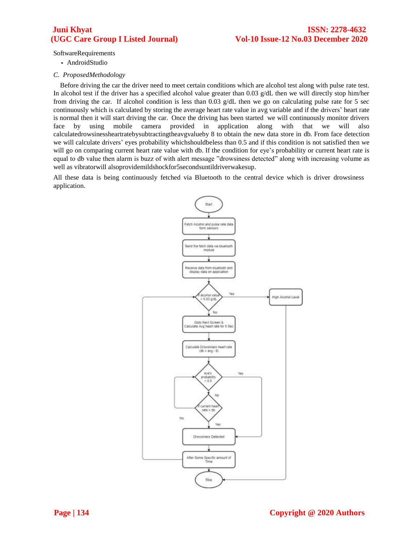SoftwareRequirements

*•* AndroidStudio

### *C. ProposedMethodology*

Before driving the car the driver need to meet certain conditions which are alcohol test along with pulse rate test. In alcohol test if the driver has a specified alcohol value greater than 0.03  $g/dL$  then we will directly stop him/her from driving the car. If alcohol condition is less than 0.03  $g/dL$  then we go on calculating pulse rate for 5 sec continuously which is calculated by storing the average heart rate value in avg variable and if the drivers' heart rate is normal then it will start driving the car. Once the driving has been started we will continuously monitor drivers face by using mobile camera provided in application along with that we will also calculatedrowsinessheartratebysubtractingtheavgvalueby 8 to obtain the new data store in db. From face detection we will calculate drivers' eyes probability whichshouldbeless than 0.5 and if this condition is not satisfied then we will go on comparing current heart rate value with db. If the condition for eye's probability or current heart rate is equal to db value then alarm is buzz of with alert message "drowsiness detected" along with increasing volume as well as vibratorwill alsoprovidemildshockfor5secondsuntildriverwakesup.

All these data is being continuously fetched via Bluetooth to the central device which is driver drowsiness application.

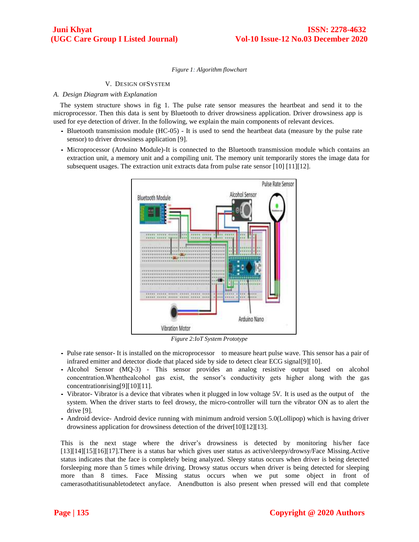### *Figure 1: Algorithm flowchart*

#### V. DESIGN OFSYSTEM

### *A. Design Diagram with Explanation*

The system structure shows in fig 1. The pulse rate sensor measures the heartbeat and send it to the microprocessor. Then this data is sent by Bluetooth to driver drowsiness application. Driver drowsiness app is used for eye detection of driver. In the following, we explain the main components of relevant devices.

- *•* Bluetooth transmission module (HC-05) It is used to send the heartbeat data (measure by the pulse rate sensor) to driver drowsiness application [9].
- *•* Microprocessor (Arduino Module)-It is connected to the Bluetooth transmission module which contains an extraction unit, a memory unit and a compiling unit. The memory unit temporarily stores the image data for subsequent usages. The extraction unit extracts data from pulse rate sensor [10] [11][12].



*Figure 2:IoT System Prototype*

- *•* Pulse rate sensor- It is installed on the microprocessor to measure heart pulse wave. This sensor has a pair of infrared emitter and detector diode that placed side by side to detect clear ECG signal[9][10].
- *•* Alcohol Sensor (MQ-3) This sensor provides an analog resistive output based on alcohol concentration.Whenthealcohol gas exist, the sensor's conductivity gets higher along with the gas concentrationrising[9][10][11].
- Vibrator- Vibrator is a device that vibrates when it plugged in low voltage 5V. It is used as the output of the system. When the driver starts to feel drowsy, the micro-controller will turn the vibrator ON as to alert the drive [9].
- *•* Android device- Android device running with minimum android version 5.0(Lollipop) which is having driver drowsiness application for drowsiness detection of the driver[10][12][13].

This is the next stage where the driver's drowsiness is detected by monitoring his/her face [13][14][15][16][17].There is a status bar which gives user status as active/sleepy/drowsy/Face Missing.Active status indicates that the face is completely being analyzed. Sleepy status occurs when driver is being detected forsleeping more than 5 times while driving. Drowsy status occurs when driver is being detected for sleeping more than 8 times. Face Missing status occurs when we put some object in front of camerasothatitisunabletodetect anyface. Anendbutton is also present when pressed will end that complete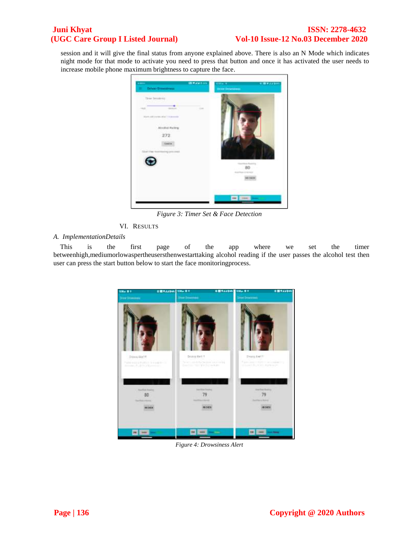# **Juni Khyat** ISSN: 2278-4632 **(UGC Care Group I Listed Journal) Vol-10 Issue-12 No.03 December 2020**

session and it will give the final status from anyone explained above. There is also an N Mode which indicates night mode for that mode to activate you need to press that button and once it has activated the user needs to increase mobile phone maximum brightness to capture the face.



*Figure 3: Timer Set & Face Detection*

VI. RESULTS

## *A. ImplementationDetails*

This is the first page of the app where we set the timer betweenhigh,mediumorlowaspertheusersthenwestarttaking alcohol reading if the user passes the alcohol test then user can press the start button below to start the face monitoringprocess.



*Figure 4: Drowsiness Alert*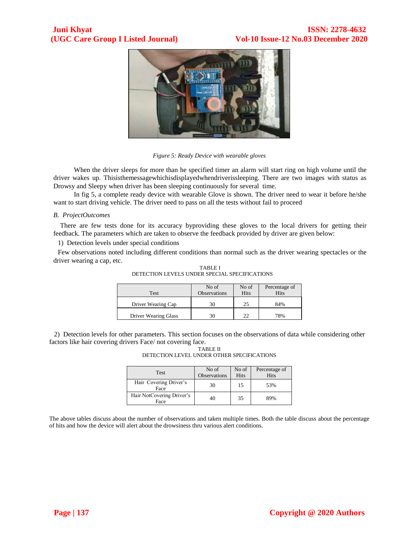

*Figure 5: Ready Device with wearable gloves*

When the driver sleeps for more than he specified timer an alarm will start ring on high volume until the driver wakes up. Thisisthemessagewhichisdisplayedwhendriverissleeping. There are two images with status as Drowsy and Sleepy when driver has been sleeping continuously for several time.

In fig 5, a complete ready device with wearable Glove is shown. The driver need to wear it before he/she want to start driving vehicle. The driver need to pass on all the tests without fail to proceed

### *B. ProjectOutcomes*

There are few tests done for its accuracy byproviding these gloves to the local drivers for getting their feedback. The parameters which are taken to observe the feedback provided by driver are given below:

1) Detection levels under special conditions

Few observations noted including different conditions than normal such as the driver wearing spectacles or the driver wearing a cap, etc.

| DETECTION LEVELS UNDER SPECIAL SPECIFICATIONS | TABLE I          |               |         |
|-----------------------------------------------|------------------|---------------|---------|
|                                               | No <sub>of</sub> | $N$ of $\Box$ | Percent |

| Test                 | No of<br><b>Observations</b> | No of<br>Hits | Percentage of<br><b>Hits</b> |
|----------------------|------------------------------|---------------|------------------------------|
| Driver Wearing Cap   |                              | 25            | 84%                          |
| Driver Wearing Glass |                              | 22            | 78%                          |

2) Detection levels for other parameters. This section focuses on the observations of data while considering other factors like hair covering drivers Face/ not covering face.

| TABLE II                                   |  |  |  |  |  |
|--------------------------------------------|--|--|--|--|--|
| DETECTION LEVEL UNDER OTHER SPECIFICATIONS |  |  |  |  |  |
|                                            |  |  |  |  |  |

| <b>Test</b>                       | No of<br><b>Observations</b> | No of<br>Hits | Percentage of<br>Hits |
|-----------------------------------|------------------------------|---------------|-----------------------|
| Hair Covering Driver's<br>Face    | 30                           | 15            | 53%                   |
| Hair NotCovering Driver's<br>Face |                              | 35            | 89%                   |

The above tables discuss about the number of observations and taken multiple times. Both the table discuss about the percentage of hits and how the device will alert about the drowsiness thru various alert conditions.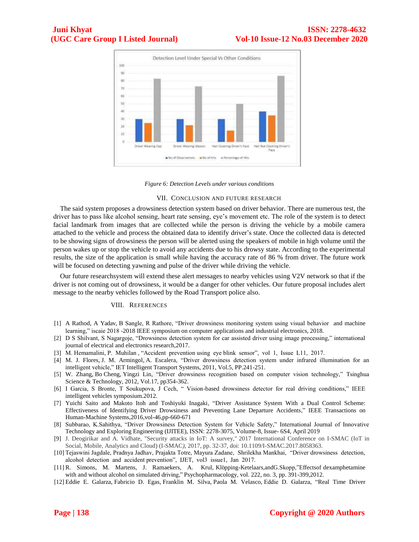

*Figure 6: Detection Levels under various conditions*

#### VII. CONCLUSION AND FUTURE RESEARCH

The said system proposes a drowsiness detection system based on driver behavior. There are numerous test, the driver has to pass like alcohol sensing, heart rate sensing, eye's movement etc. The role of the system is to detect facial landmark from images that are collected while the person is driving the vehicle by a mobile camera attached to the vehicle and process the obtained data to identify driver's state. Once the collected data is detected to be showing signs of drowsiness the person will be alerted using the speakers of mobile in high volume until the person wakes up or stop the vehicle to avoid any accidents due to his drowsy state. According to the experimental results, the size of the application is small while having the accuracy rate of 86 % from driver. The future work will be focused on detecting yawning and pulse of the driver while driving the vehicle.

Our future researchsystem will extend these alert messages to nearby vehicles using V2V network so that if the driver is not coming out of drowsiness, it would be a danger for other vehicles. Our future proposal includes alert message to the nearby vehicles followed by the Road Transport police also.

#### VIII. REFERENCES

- [1] A Rathod, A Yadav, B Sangle, R Rathore, "Driver drowsiness monitoring system using visual behavior and machine learning," iscaie 2018 -2018 IEEE symposium on computer applications and industrial electronics, 2018.
- [2] D S Shilvant, S Nagargoje, "Drowsiness detection system for car assisted driver using image processing," international journal of electrical and electronics research,2017.
- [3] M. Hemamalini, P. Muhilan , "Accident prevention using eye blink sensor", vol 1, Issue L11, 2017.
- [4] [M. J. Flores,](https://www.semanticscholar.org/author/M.-J.-Flores/46819735) [J. M. Armingol,](https://www.semanticscholar.org/author/J.-M.-Armingol/49837693) [A. Escalera,](https://www.semanticscholar.org/author/A.-Escalera/1686515) "Driver drowsiness detection system under infrared illumination for an intelligent vehicle," IET Intelligent Transport Systems, 2011, Vol.5, PP.241-251.
- [5] [W. Zhang,](https://www.semanticscholar.org/author/W.-Zhang/144973251) Bo [Cheng,](https://www.semanticscholar.org/author/Bo-Cheng/2055923505) [Yingzi Lin,](https://www.semanticscholar.org/author/Yingzi-Lin/3253652) "Driver drowsiness recognition based on computer vision technology," Tsinghua Science & Technology, 2012, Vol.17, pp354-362.
- [6] I Garcia, S Bronte, T Soukupova, J Cech, " Vision-based drowsiness detector for real driving conditions," IEEE intelligent vehicles symposium.2012.
- [7] Yuichi Saito and Makoto Itoh and Toshiyuki Inagaki, "Driver Assistance System With a Dual Control Scheme: Effectiveness of Identifying Driver Drowsiness and Preventing Lane Departure Accidents," IEEE Transactions on Human-Machine Systems,2016,vol-46,pp-660-671
- [8] Subbarao, K.Sahithya, "Driver Drowsiness Detection System for Vehicle Safety," International Journal of Innovative Technology and Exploring Engineering (IJITEE), ISSN: 2278-3075, Volume-8, Issue- 6S4, April 2019
- [9] J. Deogirikar and A. Vidhate, "Security attacks in IoT: A survey," 2017 International Conference on I-SMAC (IoT in Social, Mobile, Analytics and Cloud) (I-SMAC*)*, 2017, pp. 32-37, doi: 10.1109/I-SMAC.2017.8058363.
- [10] Tejaswini Jagdale, Pradnya Jadhav, Prajakta Totre, Mayura Zadane, Shrilekha Mankhai, "Driver drowsiness detection, alcohol detection and accident prevention", IJET, vol3 issue1, Jan 2017.
- [11] R. Simons, M. Martens, J. Ramaekers, A. Krul, Klöpping-Ketelaars, and G. Skopp," Effects of dexamphetamine with and without alcohol on simulated driving," Psychopharmacology, vol. 222, no. 3, pp. 391-399,2012.
- [12] Eddie E. Galarza, Fabricio D. Egas, Franklin M. Silva, Paola M. Velasco, Eddie D. Galarza, "Real Time Driver